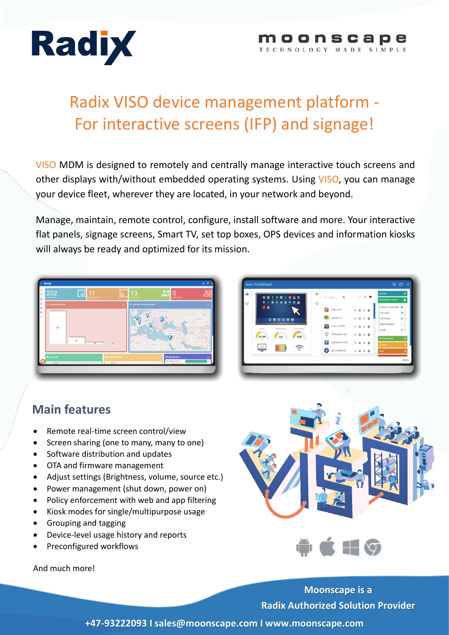

#### moonscape TECHNOLOGY MADE SIMPLE

# Radix VISO device management platform - For interactive screens (IFP) and signage!

VISO MDM is designed to remotely and centrally manage interactive touch screens and other displays with/without embedded operating systems. Using VISO, you can manage your device fleet, wherever they are located, in your network and beyond.

Manage, maintain, remote control, configure, install software and more. Your interactive flat panels, signage screens, Smart TV, set top boxes, OPS devices and information kiosks will always be ready and optimized for its mission.



| ж<br>c<br>ස                                                          | 田       | $\alpha$<br>Search Apps.       | x                          | o               | 罪            | Rumote              | ٠                     |
|----------------------------------------------------------------------|---------|--------------------------------|----------------------------|-----------------|--------------|---------------------|-----------------------|
| 8<br>ō<br>ℼ                                                          | $\circ$ |                                |                            |                 |              | Repositores actions | o                     |
| ٠<br>×                                                               |         | е<br>nPAY / V19                | ×<br>٠                     |                 | ٠            | INSTALL PACKAGES    | ٠                     |
|                                                                      |         |                                |                            |                 |              | POLICIES            | ٠                     |
| $\begin{array}{c c} \circ & \circ & \circ & \circ \circ \end{array}$ |         | $\epsilon$<br>eService / V.6   | $\times$<br>٠              |                 | ٠            | <b>SETTINGS</b>     | $\alpha_i^*$          |
| <b>Reiners</b>                                                       |         | EG<br>X glory / V.37600        | $\times$<br>$\blacksquare$ | ٠               | $\mathbf{r}$ | REMOTE EXEC         | $\mathcal{R}_{\rm m}$ |
| <b>External Mongo</b><br><b>Internet Stanley</b>                     |         | ÷<br>WIRANalyzer / V.83        |                            |                 |              | FILES               | 仓                     |
| 302M<br>2.20<br>ST ALL<br>19<br>÷                                    |         |                                | ×<br>$\blacksquare$        | $\rightarrow$ 1 |              | <b>Send Mettage</b> |                       |
|                                                                      |         | o<br>Volce Search / V210       | $\times$<br>$\overline{u}$ | $\bullet$       | 一直           | Location            |                       |
|                                                                      |         | Viso / V.80512030<br>$\bullet$ | $\times$<br>٠              |                 | ٠            | Lock                |                       |
|                                                                      |         |                                |                            |                 |              |                     | CANCEL                |
|                                                                      |         |                                |                            |                 |              |                     |                       |

## **Main features**

- Remote real-time screen control/view
- Screen sharing (one to many, many to one)
- Software distribution and updates
- OTA and firmware management
- Adjust settings (Brightness, volume, source etc.)
- Power management (shut down, power on)
- Policy enforcement with web and app filtering
- Kiosk modes for single/multipurpose usage
- Grouping and tagging
- Device-level usage history and reports
- Preconfigured workflows





And much more!

**Moonscape is a Radix Authorized Solution Provider**

**+47-93222093 I sales@moonscape.com I www.moonscape.com**